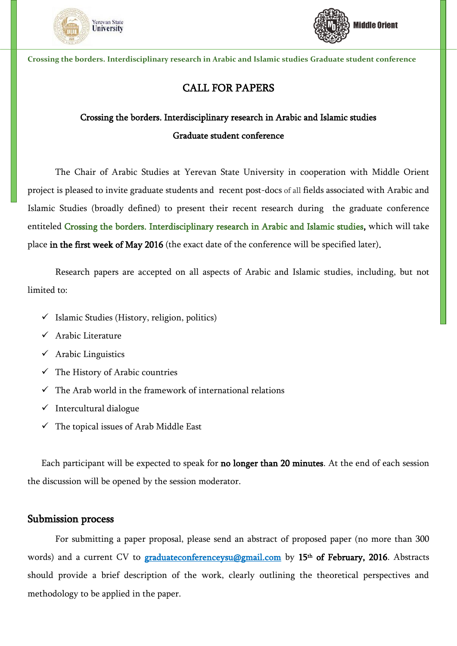



**Crossing the borders. Interdisciplinary research in Arabic and Islamic studies Graduate student conference**

## CALL FOR PAPERS

## Crossing the borders. Interdisciplinary research in Arabic and Islamic studies Graduate student conference

The Chair of Arabic Studies at Yerevan State University in cooperation with Middle Orient project is pleased to invite graduate students and recent post-docs of all fields associated with Arabic and Islamic Studies (broadly defined) to present their recent research during the graduate conference entiteled Crossing the borders. Interdisciplinary research in Arabic and Islamic studies, which will take place in the first week of May 2016 (the exact date of the conference will be specified later).

Research papers are accepted on all aspects of Arabic and Islamic studies, including, but not limited to:

- $\checkmark$  Islamic Studies (History, religion, politics)
- $\checkmark$  Arabic Literature
- $\checkmark$  Arabic Linguistics
- $\checkmark$  The History of Arabic countries
- $\checkmark$  The Arab world in the framework of international relations
- $\checkmark$  Intercultural dialogue
- $\checkmark$  The topical issues of Arab Middle East

Each participant will be expected to speak for no longer than 20 minutes. At the end of each session the discussion will be opened by the session moderator.

## Submission process

For submitting a paper proposal, please send an abstract of proposed paper (no more than 300 words) and a current CV to **[graduateconferenceysu@gmail.com](mailto:graduateconferenceysu@gmail.com)** by 15<sup>th</sup> of February, 2016. Abstracts should provide a brief description of the work, clearly outlining the theoretical perspectives and methodology to be applied in the paper.